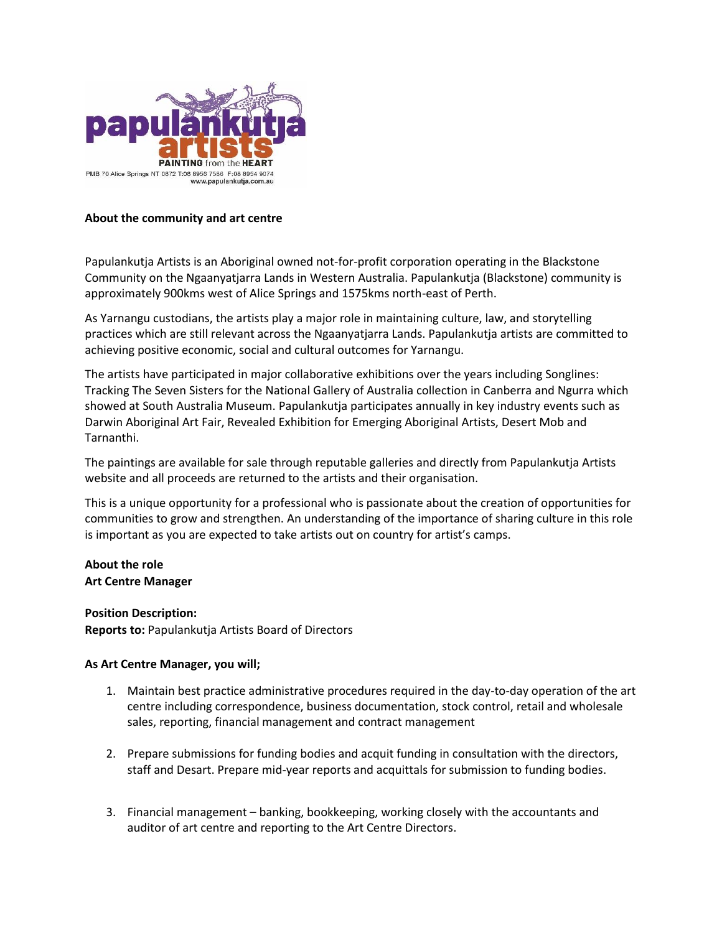

## **About the community and art centre**

Papulankutja Artists is an Aboriginal owned not-for-profit corporation operating in the Blackstone Community on the Ngaanyatjarra Lands in Western Australia. Papulankutja (Blackstone) community is approximately 900kms west of Alice Springs and 1575kms north-east of Perth.

As Yarnangu custodians, the artists play a major role in maintaining culture, law, and storytelling practices which are still relevant across the Ngaanyatjarra Lands. Papulankutja artists are committed to achieving positive economic, social and cultural outcomes for Yarnangu.

The artists have participated in major collaborative exhibitions over the years including Songlines: Tracking The Seven Sisters for the National Gallery of Australia collection in Canberra and Ngurra which showed at South Australia Museum. Papulankutja participates annually in key industry events such as Darwin Aboriginal Art Fair, Revealed Exhibition for Emerging Aboriginal Artists, Desert Mob and Tarnanthi.

The paintings are available for sale through reputable galleries and directly from Papulankutja Artists website and all proceeds are returned to the artists and their organisation.

This is a unique opportunity for a professional who is passionate about the creation of opportunities for communities to grow and strengthen. An understanding of the importance of sharing culture in this role is important as you are expected to take artists out on country for artist's camps.

# **About the role Art Centre Manager**

## **Position Description:**

**Reports to:** Papulankutja Artists Board of Directors

## **As Art Centre Manager, you will;**

- 1. Maintain best practice administrative procedures required in the day-to-day operation of the art centre including correspondence, business documentation, stock control, retail and wholesale sales, reporting, financial management and contract management
- 2. Prepare submissions for funding bodies and acquit funding in consultation with the directors, staff and Desart. Prepare mid-year reports and acquittals for submission to funding bodies.
- 3. Financial management banking, bookkeeping, working closely with the accountants and auditor of art centre and reporting to the Art Centre Directors.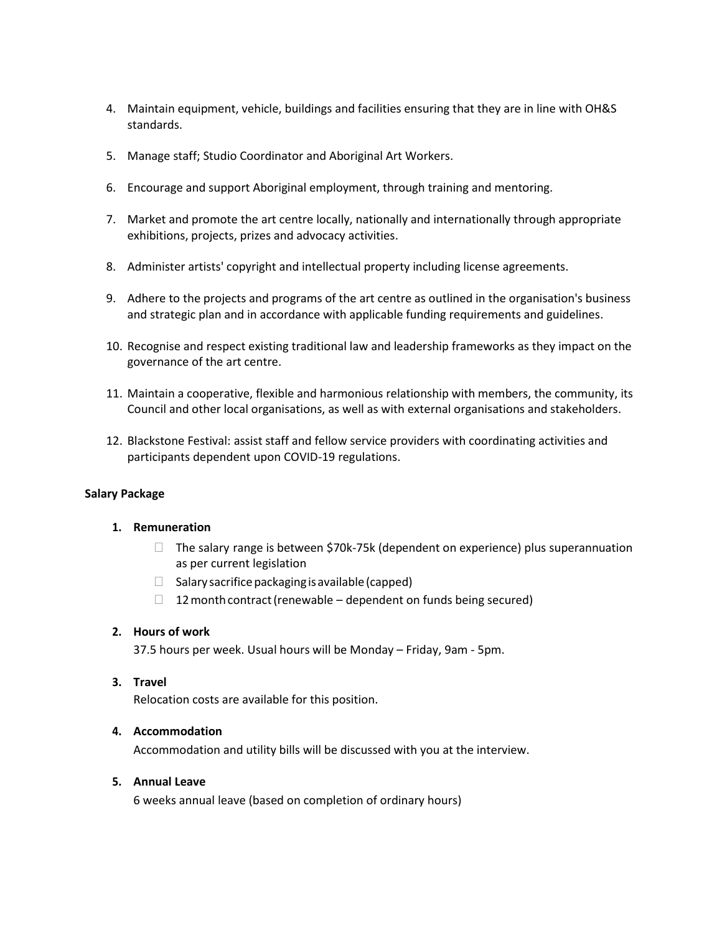- 4. Maintain equipment, vehicle, buildings and facilities ensuring that they are in line with OH&S standards.
- 5. Manage staff; Studio Coordinator and Aboriginal Art Workers.
- 6. Encourage and support Aboriginal employment, through training and mentoring.
- 7. Market and promote the art centre locally, nationally and internationally through appropriate exhibitions, projects, prizes and advocacy activities.
- 8. Administer artists' copyright and intellectual property including license agreements.
- 9. Adhere to the projects and programs of the art centre as outlined in the organisation's business and strategic plan and in accordance with applicable funding requirements and guidelines.
- 10. Recognise and respect existing traditional law and leadership frameworks as they impact on the governance of the art centre.
- 11. Maintain a cooperative, flexible and harmonious relationship with members, the community, its Council and other local organisations, as well as with external organisations and stakeholders.
- 12. Blackstone Festival: assist staff and fellow service providers with coordinating activities and participants dependent upon COVID-19 regulations.

## **Salary Package**

#### **1. Remuneration**

- $\Box$  The salary range is between \$70k-75k (dependent on experience) plus superannuation as per current legislation
- $\Box$  Salary sacrifice packaging is available (capped)
- $\Box$  12 month contract (renewable dependent on funds being secured)

## **2. Hours of work**

37.5 hours per week. Usual hours will be Monday – Friday, 9am - 5pm.

## **3. Travel**

Relocation costs are available for this position.

## **4. Accommodation**

Accommodation and utility bills will be discussed with you at the interview.

#### **5. Annual Leave**

6 weeks annual leave (based on completion of ordinary hours)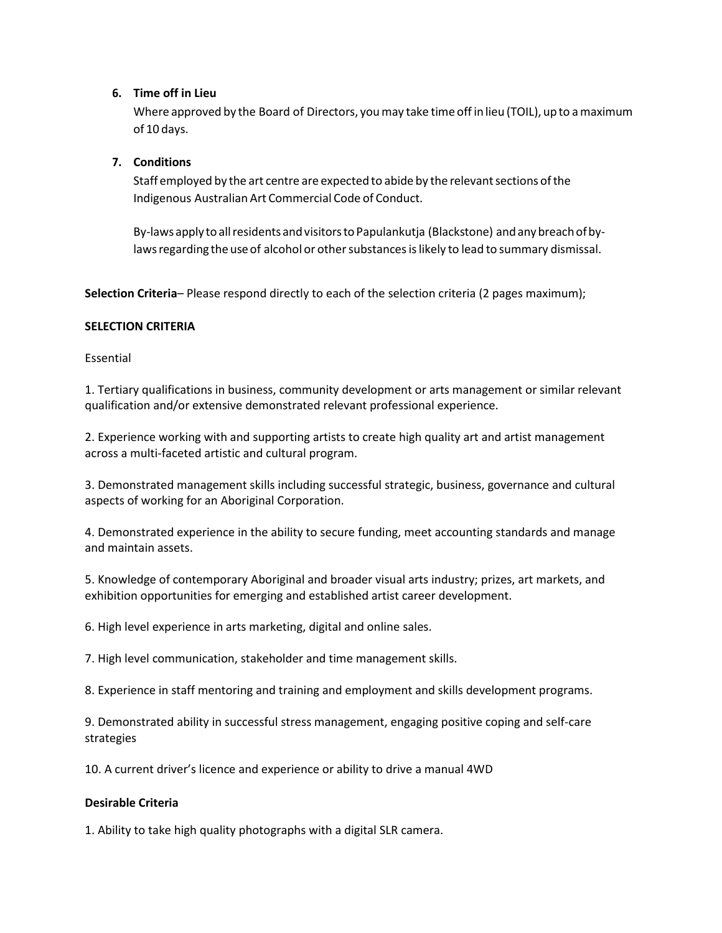## **6. Time off in Lieu**

Where approved by the Board of Directors, youmay take time offin lieu (TOIL), up to amaximum of 10 days.

# **7. Conditions**

Staff employed by the art centre are expected to abide by the relevant sections of the Indigenous Australian Art Commercial Code of Conduct.

By-laws apply to all residents and visitors to Papulankutja (Blackstone) and any breach of bylaws regarding the use of alcohol or other substances is likely to lead to summary dismissal.

**Selection Criteria**– Please respond directly to each of the selection criteria (2 pages maximum);

## **SELECTION CRITERIA**

Essential

1. Tertiary qualifications in business, community development or arts management or similar relevant qualification and/or extensive demonstrated relevant professional experience.

2. Experience working with and supporting artists to create high quality art and artist management across a multi-faceted artistic and cultural program.

3. Demonstrated management skills including successful strategic, business, governance and cultural aspects of working for an Aboriginal Corporation.

4. Demonstrated experience in the ability to secure funding, meet accounting standards and manage and maintain assets.

5. Knowledge of contemporary Aboriginal and broader visual arts industry; prizes, art markets, and exhibition opportunities for emerging and established artist career development.

6. High level experience in arts marketing, digital and online sales.

7. High level communication, stakeholder and time management skills.

8. Experience in staff mentoring and training and employment and skills development programs.

9. Demonstrated ability in successful stress management, engaging positive coping and self-care strategies

10. A current driver's licence and experience or ability to drive a manual 4WD

## **Desirable Criteria**

1. Ability to take high quality photographs with a digital SLR camera.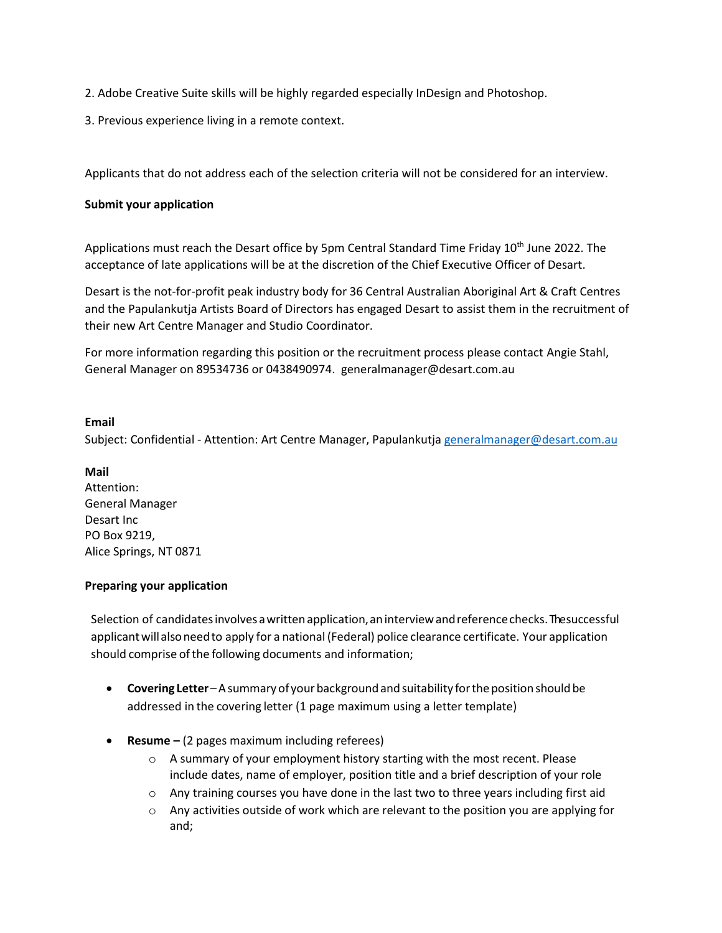- 2. Adobe Creative Suite skills will be highly regarded especially InDesign and Photoshop.
- 3. Previous experience living in a remote context.

Applicants that do not address each of the selection criteria will not be considered for an interview.

#### **Submit your application**

Applications must reach the Desart office by 5pm Central Standard Time Friday 10<sup>th</sup> June 2022. The acceptance of late applications will be at the discretion of the Chief Executive Officer of Desart.

Desart is the not-for-profit peak industry body for 36 Central Australian Aboriginal Art & Craft Centres and the Papulankutja Artists Board of Directors has engaged Desart to assist them in the recruitment of their new Art Centre Manager and Studio Coordinator.

For more information regarding this position or the recruitment process please contact Angie Stahl, General Manager on 89534736 or 0438490974. generalmanager@desart.com.au

#### **Email**

Subject: Confidential - Attention: Art Centre Manager, Papulankutja [generalmanager@desart.com.au](mailto:generalmanager@desart.com.au)

#### **Mail**

Attention: General Manager Desart Inc PO Box 9219, Alice Springs, NT 0871

#### **Preparing your application**

Selection of candidates involves a written application, an interview and reference checks. The successful applicant will also need to apply for a national (Federal) police clearance certificate. Your application should comprise of the following documents and information;

- **Covering Letter** A summary of your background and suitability for the position should be addressed in the covering letter (1 page maximum using a letter template)
- **Resume –** (2 pages maximum including referees)
	- o A summary of your employment history starting with the most recent. Please include dates, name of employer, position title and a brief description of your role
	- $\circ$  Any training courses you have done in the last two to three years including first aid
	- $\circ$  Any activities outside of work which are relevant to the position you are applying for and;